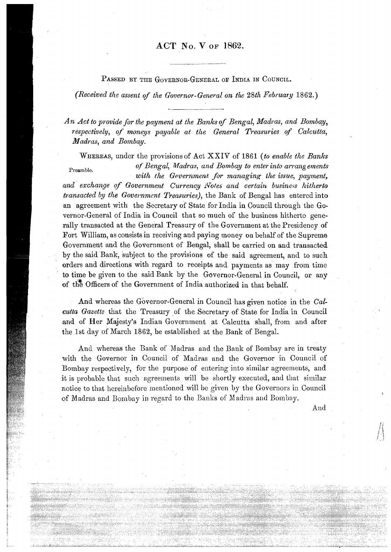## **ACT No. V OF 1862.**

PASSED BY THE GOVERNOR-GENERAL OF INDIA IN COUNCIL.

(Received the assent of the Governor- General on the 28th February 1862.)

An Act to provide for the payment at the Banks of Bengal, Madras, and Bombay, respectively, of moneys payable at the General Treasuries of Calcutta, Madras, and Bombay.

WHEREAS, under the provisions of Act  $\overline{XXIV}$  of 1861 (to enable the Banks Preamble. of Bengal, Madras, and Bombay to enter into arrangements with the Government for managing the issue, payment, and exchange of Government Currency Notes and certain business hitherto transacted by the Government Treasuries), the Bank of Bengal has entered into

an agreement with the Secretary of State for India in Council through the Governor-General of India in Council that so much of the business hitherto generally transacted at the General Treasury of the Government at the Presidency of Fort William, as consists in receiving and paying money on behalf of the Supreme Government and the Government of Bengal, shall be carried on and transacted by the said Bank, subject, to the provisions of the said agreement, and to such orders and directions with regard to receipts and payments as may from time to time be given to the said Bank by the Governor-General in Council, or any of the Officers of the Government of India authorized in that behalf.

And whereas the Governor-General in Council has given notice in the Calcutta Gazette that the Treasury of the Secretary of State for India in Council and of Her Majesty's Indian Government at Calcutta shall, from and after the 1st day of March 1862, be established at the Bank of Bengal.

And whereas the Bank of Madras and the Bank of Bombay are in treaty with the Governor in Council of Madras and the Governor in Council of Bombay respectively, for the purpose of entering into similar agreements, and it is probable that such agreements will be shortly executed, and that similar notice to that hereinbefore mentioned will be given by the Governors in Council of Madras and Bombay in regard to the Banks of Madras and Bombay.

And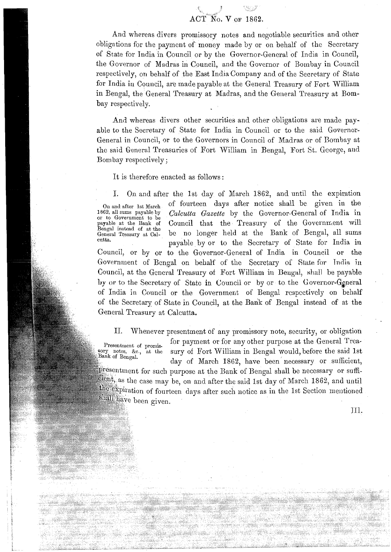## $ACT^*$ No. V of

f \*.

And whereas divers promissory notes and negotiable securities and other obligations for the payment of money made by or on behalf of the Secretary of State for India in Council or by the Governor-General of India in Council, the Governor of Madras in Council, and the Governor of Bornbay in Council respectively, on behalf of the East India Company and of the Secretary of State for India in Council, are made payable at the General Treasury of Fort William in Eeugal, the General Treasury at Madras, and the General Treasury at Bornbay respectively.

And whereas divers other securities and other obligations are made payable to the Secretary of State for India in Council or to the said Governor-General in Council, or to the Governors in Council of Maclras or of Bombay at the said General Treasuries of Fort William in Bengal, Fort St. George, and Bombay respectively;

It is therefore enacted as follows:

ando a composição de

I. On and after the 1st day of March 1862, and until the expiration On and after 1st March of fourteen days after notice shall be given in the 1862, all sums payable by *Calcutta Gazette* by the Governor-General of India in or to Government to be Council that the Treasury of the Government will Council that the Treasury of the Government will Bengal instead of at the<br>General Treasury at Cal-General Treasury at cal- be no longer held at the Bank of Eengal, all sums payable by or to the Secretary of State for India in Council, or by or to the Governor-General of India in Council or the Government of Bengal on behalf of the Secretary of State for India in Council, at the General Treasury of Fort William in Bengal, shall be payable by or to the Secretary of State in Council or by or to the Governor-General of India in Council or the Government of Bengal respectively on behalf of the Secretary of State in Council, at the Bank of Bengal instead of at the General Treasury at Calcutta.

11. Whenever presentment of any promissory note, security, or obligation Presentment of promis-<br>For payment or for any other purpose at the General Trea-<br>sory notes, &c., at the sury of Fort William in Bengal would, before the said 1st sury of Fort William in Bengal would, before the said 1st day of March 1862, have been necessary or sufficient,  $\hat{p}$ resentment for such purpose at the Bank of Bengal shall be necessary or sufficlient, as the case may be, on and after the said 1st day of March 1862, and until the expiration of fourteen days after such notice as in the 1st Section mentioned shall have been given.

I]:]..